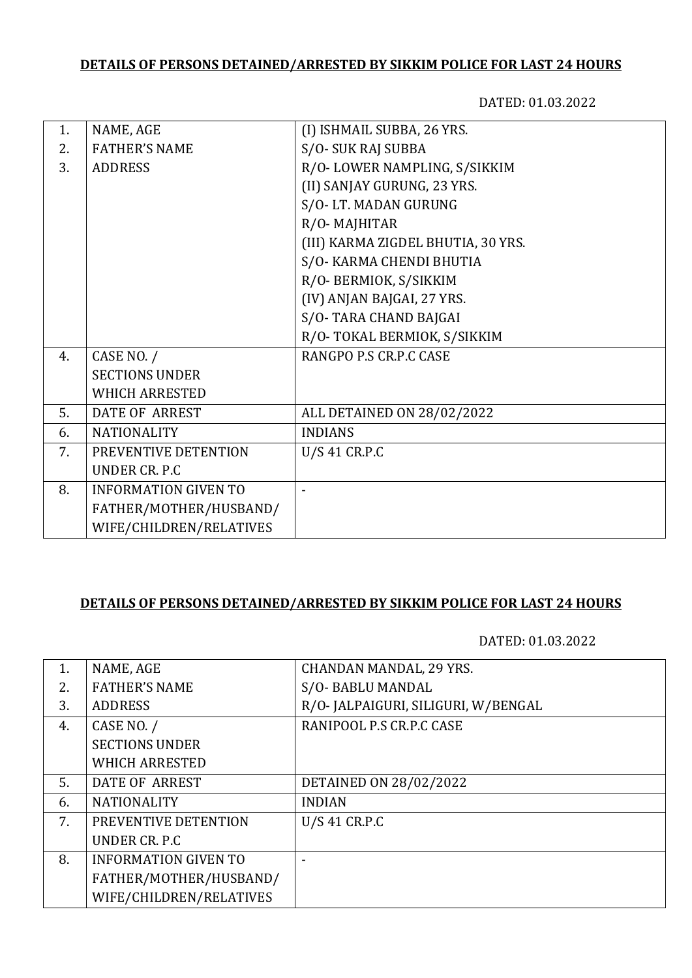# **DETAILS OF PERSONS DETAINED/ARRESTED BY SIKKIM POLICE FOR LAST 24 HOURS**

DATED: 01.03.2022

| 1. | NAME, AGE                   | (I) ISHMAIL SUBBA, 26 YRS.         |
|----|-----------------------------|------------------------------------|
| 2. | <b>FATHER'S NAME</b>        | S/O-SUK RAJ SUBBA                  |
| 3. | <b>ADDRESS</b>              | R/O-LOWER NAMPLING, S/SIKKIM       |
|    |                             | (II) SANJAY GURUNG, 23 YRS.        |
|    |                             | S/O-LT. MADAN GURUNG               |
|    |                             | R/O-MAJHITAR                       |
|    |                             | (III) KARMA ZIGDEL BHUTIA, 30 YRS. |
|    |                             | S/O- KARMA CHENDI BHUTIA           |
|    |                             | R/O- BERMIOK, S/SIKKIM             |
|    |                             | (IV) ANJAN BAJGAI, 27 YRS.         |
|    |                             | S/O-TARA CHAND BAJGAI              |
|    |                             | R/O-TOKAL BERMIOK, S/SIKKIM        |
| 4. | CASE NO. /                  | RANGPO P.S CR.P.C CASE             |
|    | <b>SECTIONS UNDER</b>       |                                    |
|    | <b>WHICH ARRESTED</b>       |                                    |
| 5. | <b>DATE OF ARREST</b>       | ALL DETAINED ON 28/02/2022         |
| 6. | <b>NATIONALITY</b>          | <b>INDIANS</b>                     |
| 7. | PREVENTIVE DETENTION        | U/S 41 CR.P.C                      |
|    | UNDER CR. P.C               |                                    |
| 8. | <b>INFORMATION GIVEN TO</b> |                                    |
|    | FATHER/MOTHER/HUSBAND/      |                                    |
|    | WIFE/CHILDREN/RELATIVES     |                                    |
|    |                             |                                    |

### **DETAILS OF PERSONS DETAINED/ARRESTED BY SIKKIM POLICE FOR LAST 24 HOURS**

DATED: 01.03.2022

| 1. | NAME, AGE                   | <b>CHANDAN MANDAL, 29 YRS.</b>      |
|----|-----------------------------|-------------------------------------|
| 2. | <b>FATHER'S NAME</b>        | S/O-BABLU MANDAL                    |
| 3. | <b>ADDRESS</b>              | R/O- JALPAIGURI, SILIGURI, W/BENGAL |
| 4. | CASE NO. /                  | RANIPOOL P.S CR.P.C CASE            |
|    | <b>SECTIONS UNDER</b>       |                                     |
|    | <b>WHICH ARRESTED</b>       |                                     |
| 5. | DATE OF ARREST              | DETAINED ON 28/02/2022              |
| 6. | <b>NATIONALITY</b>          | <b>INDIAN</b>                       |
| 7. | PREVENTIVE DETENTION        | U/S 41 CR.P.C                       |
|    | UNDER CR. P.C               |                                     |
| 8. | <b>INFORMATION GIVEN TO</b> |                                     |
|    | FATHER/MOTHER/HUSBAND/      |                                     |
|    | WIFE/CHILDREN/RELATIVES     |                                     |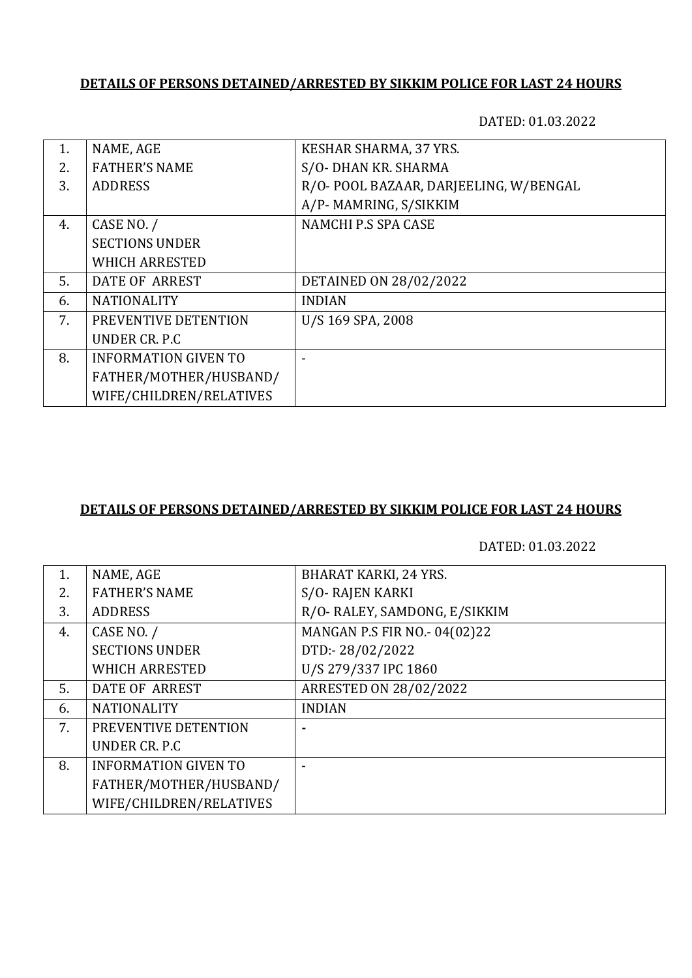#### **DETAILS OF PERSONS DETAINED/ARRESTED BY SIKKIM POLICE FOR LAST 24 HOURS**

DATED: 01.03.2022

| 1. | NAME, AGE                   | KESHAR SHARMA, 37 YRS.                |
|----|-----------------------------|---------------------------------------|
| 2. | <b>FATHER'S NAME</b>        | S/O- DHAN KR. SHARMA                  |
| 3. | <b>ADDRESS</b>              | R/O-POOL BAZAAR, DARJEELING, W/BENGAL |
|    |                             | A/P-MAMRING, S/SIKKIM                 |
| 4. | CASE NO. /                  | NAMCHI P.S SPA CASE                   |
|    | <b>SECTIONS UNDER</b>       |                                       |
|    | <b>WHICH ARRESTED</b>       |                                       |
| 5. | <b>DATE OF ARREST</b>       | DETAINED ON 28/02/2022                |
| 6. | <b>NATIONALITY</b>          | <b>INDIAN</b>                         |
| 7. | PREVENTIVE DETENTION        | U/S 169 SPA, 2008                     |
|    | UNDER CR. P.C.              |                                       |
| 8. | <b>INFORMATION GIVEN TO</b> |                                       |
|    | FATHER/MOTHER/HUSBAND/      |                                       |
|    | WIFE/CHILDREN/RELATIVES     |                                       |

## **DETAILS OF PERSONS DETAINED/ARRESTED BY SIKKIM POLICE FOR LAST 24 HOURS**

DATED: 01.03.2022

| 1. | NAME, AGE                   | <b>BHARAT KARKI, 24 YRS.</b>  |
|----|-----------------------------|-------------------------------|
| 2. | <b>FATHER'S NAME</b>        | S/O-RAJEN KARKI               |
| 3. | <b>ADDRESS</b>              | R/O- RALEY, SAMDONG, E/SIKKIM |
| 4. | CASE NO. /                  | MANGAN P.S FIR NO.- 04(02)22  |
|    | <b>SECTIONS UNDER</b>       | DTD:-28/02/2022               |
|    | <b>WHICH ARRESTED</b>       | U/S 279/337 IPC 1860          |
| 5. | <b>DATE OF ARREST</b>       | ARRESTED ON 28/02/2022        |
| 6. | <b>NATIONALITY</b>          | <b>INDIAN</b>                 |
| 7. | PREVENTIVE DETENTION        |                               |
|    | UNDER CR. P.C.              |                               |
| 8. | <b>INFORMATION GIVEN TO</b> |                               |
|    | FATHER/MOTHER/HUSBAND/      |                               |
|    | WIFE/CHILDREN/RELATIVES     |                               |
|    |                             |                               |